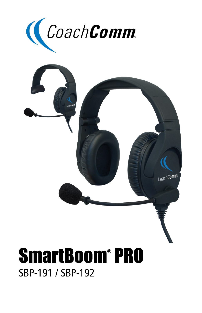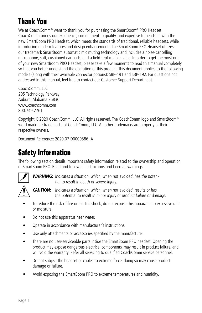# **Thank You**

We at CoachComm<sup>®</sup> want to thank you for purchasing the SmartBoom<sup>®</sup> PRO Headset. CoachComm brings our experience, commitment to quality, and expertise to headsets with the new SmartBoom PRO Headset, which meets the standards of traditional, reliable headsets, while introducing modern features and design enhancements. The SmartBoom PRO Headset utilizes our trademark SmartBoom automatic mic muting technology and includes a noise-cancelling microphone; soft, cushioned ear pads; and a field-replaceable cable. In order to get the most out of your new SmartBoom PRO Headset, please take a few moments to read this manual completely so that you better understand the operation of this product. This document applies to the following models (along with their available connector options): SBP-191 and SBP-192. For questions not addressed in this manual, feel free to contact our Customer Support Department.

CoachComm, LLC 205 Technology Parkway Auburn, Alabama 36830 www.coachcomm.com 800.749.2761

Copyright ©2020 CoachComm, LLC. All rights reserved. The CoachComm logo and SmartBoom® word mark are trademarks of CoachComm, LLC. All other trademarks are property of their respective owners.

Document Reference: 2020.07 D0000586\_A

### **Safety Information**

The following section details important safety information related to the ownership and operation of SmartBoom PRO. Read and follow all instructions and heed all warnings.



**WARNING:** Indicates a situation, which, when not avoided, has the potential to result in death or severe injury.



**CAUTION:** Indicates a situation, which, when not avoided, results or has the potential to result in minor injury or product failure or damage.

- To reduce the risk of fire or electric shock, do not expose this apparatus to excessive rain or moisture.
- Do not use this apparatus near water.
- Operate in accordance with manufacturer's instructions.
- Use only attachments or accessories specified by the manufacturer.
- There are no user-serviceable parts inside the SmartBoom PRO headset. Opening the product may expose dangerous electrical components, may result in product failure, and will void the warranty. Refer all servicing to qualified CoachComm service personnel.
- Do not subject the headset or cables to extreme force; doing so may cause product damage or failure.
- Avoid exposing the SmartBoom PRO to extreme temperatures and humidity.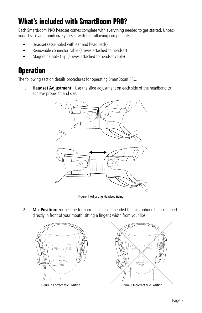# **What's included with SmartBoom PRO?**

Each SmartBoom PRO headset comes complete with everything needed to get started. Unpack your device and familiarize yourself with the following components:

- Headset (assembled with ear and head pads)
- Removable connector cable (arrives attached to headset)
- Magnetic Cable Clip (arrives attached to headset cable)

### **Operation**

The following section details procedures for operating SmartBoom PRO.

1. **Headset Adjustment:** Use the slide adjustment on each side of the headband to achieve proper fit and size.



Figure 1 Adjusting Headset Sizing

2. **Mic Position:** For best performance, it is recommended the microphone be positioned directly in front of your mouth, sitting a finger's width from your lips.



Figure 2 Correct Mic Position **Figure 3** Incorrect Mic Position

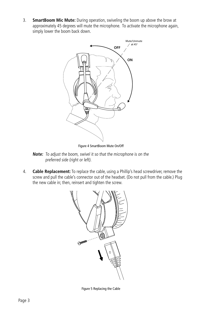3. **SmartBoom Mic Mute:** During operation, swiveling the boom up above the brow at approximately 45 degrees will mute the microphone. To activate the microphone again, simply lower the boom back down.



Figure 4 SmartBoom Mute On/Off

- **Note:** To adjust the boom, swivel it so that the microphone is on the preferred side (right or left).
- 4. **Cable Replacement:** To replace the cable, using a Phillip's head screwdriver, remove the screw and pull the cable's connector out of the headset. (Do not pull from the cable.) Plug the new cable in; then, reinsert and tighten the screw.



Figure 5 Replacing the Cable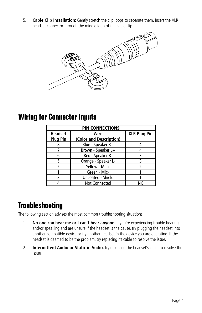5. **Cable Clip Installation:** Gently stretch the clip loops to separate them. Insert the XLR headset connector through the middle loop of the cable clip.



### **Wiring for Connector Inputs**

| <b>PIN CONNECTIONS</b> |                         |                     |  |
|------------------------|-------------------------|---------------------|--|
| <b>Headset</b>         | Wire                    | <b>XLR Plug Pin</b> |  |
| <b>Plug Pin</b>        | (Color and Description) |                     |  |
| 8                      | Blue - Speaker R+       |                     |  |
|                        | Brown - Speaker L+      |                     |  |
| 6                      | Red - Speaker R-        |                     |  |
| 5                      | Orange - Speaker L-     |                     |  |
| 2                      | Yellow - Mic+           |                     |  |
|                        | Green - Mic-            |                     |  |
| ς                      | Uncoated - Shield       |                     |  |
|                        | <b>Not Connected</b>    | М۲                  |  |

## **Troubleshooting**

The following section advises the most common troubleshooting situations.

- 1. **No one can hear me or I can't hear anyone.** If you're experiencing trouble hearing and/or speaking and are unsure if the headset is the cause, try plugging the headset into another compatible device or try another headset in the device you are operating. If the headset is deemed to be the problem, try replacing its cable to resolve the issue.
- 2. **Intermittent Audio or Static in Audio.** Try replacing the headset's cable to resolve the issue.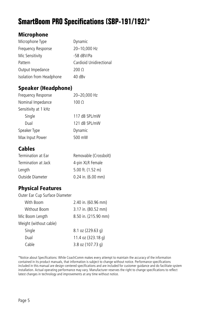# **SmartBoom PRO Specifications (SBP-191/192)\***

#### Microphone

| Microphone Type          | Dynamic                 |
|--------------------------|-------------------------|
| Frequency Response       | 20-10,000 Hz            |
| Mic Sensitivity          | -58 dBV/Pa              |
| Pattern                  | Cardioid Unidirectional |
| Output Impedance         | $200 \Omega$            |
| Isolation from Headphone | 40 dBv                  |

#### Speaker (Headphone)

| Frequency Response   | 20-20,000 Hz  |
|----------------------|---------------|
| Nominal Impedance    | $100 \Omega$  |
| Sensitivity at 1 kHz |               |
| Single               | 117 dB SPL/mW |
| Dual                 | 121 dB SPL/mW |
| Speaker Type         | Dynamic       |
| Max Input Power      | 500 mW        |

### Cables

| Termination at Ear  | Removable (Crossbolt)  |
|---------------------|------------------------|
| Termination at Jack | 4-pin XLR Female       |
| Length              | $5.00$ ft. $(1.52$ m)  |
| Outside Diameter    | $0.24$ in. $(6.00$ mm) |

### Physical Features

| Outer Ear Cup Surface Diameter |                      |
|--------------------------------|----------------------|
| With Boom                      | 2.40 in. (60.96 mm)  |
| Without Boom                   | 3.17 in. (80.52 mm)  |
| Mic Boom Length                | 8.50 in. (215.90 mm) |
| Weight (without cable)         |                      |
| Single                         | 8.1 oz (229.63 g)    |
| Dual                           | 11.4 oz (323.18 g)   |
| Cable                          | 3.8 oz (107.73 g)    |
|                                |                      |

\*Notice about Specifications: While CoachComm makes every attempt to maintain the accuracy of the information contained in its product manuals, that information is subject to change without notice. Performance specifications included in this manual are design-centered specifications and are included for customer guidance and do facilitate system installation. Actual operating performance may vary. Manufacturer reserves the right to change specifications to reflect latest changes in technology and improvements at any time without notice.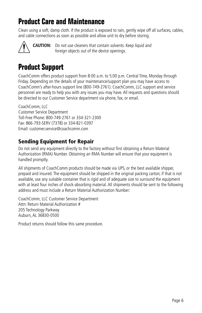## **Product Care and Maintenance**

Clean using a soft, damp cloth. If the product is exposed to rain, gently wipe off all surfaces, cables, and cable connections as soon as possible and allow unit to dry before storing.



**CAUTION:** Do not use cleaners that contain solvents. Keep liquid and foreign objects out of the device openings.

### **Product Support**

CoachComm offers product support from 8:00 a.m. to 5:00 p.m. Central Time, Monday through Friday. Depending on the details of your maintenance/support plan you may have access to CoachComm's after-hours support line (800-749-2761). CoachComm, LLC support and service personnel are ready to help you with any issues you may have. All requests and questions should be directed to our Customer Service department via phone, fax, or email.

CoachComm, LLC Customer Service Department Toll-Free Phone: 800-749-2761 or 334-321-2300 Fax: 866-793-SERV (7378) or 334-821-0397 Email: customer.service@coachcomm.com

### Sending Equipment for Repair

Do not send any equipment directly to the factory without first obtaining a Return Material Authorization (RMA) Number. Obtaining an RMA Number will ensure that your equipment is handled promptly.

All shipments of CoachComm products should be made via UPS, or the best available shipper, prepaid and insured. The equipment should be shipped in the original packing carton; if that is not available, use any suitable container that is rigid and of adequate size to surround the equipment with at least four inches of shock-absorbing material. All shipments should be sent to the following address and must include a Return Material Authorization Number:

CoachComm, LLC Customer Service Department Attn: Return Material Authorization # 205 Technology Parkway Auburn, AL 36830-0500

Product returns should follow this same procedure.